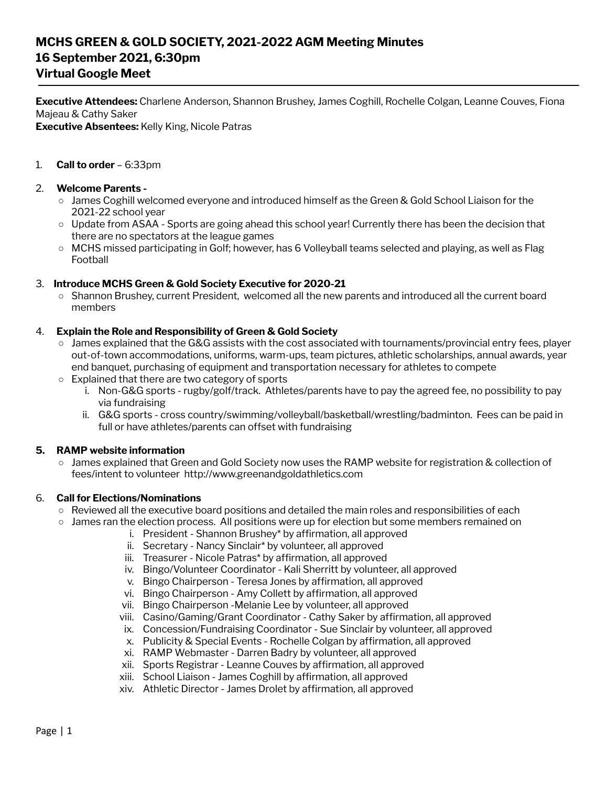# **MCHS GREEN & GOLD SOCIETY, 2021-2022 AGM Meeting Minutes 16 September 2021, 6:30pm Virtual Google Meet**

**Executive Attendees:** Charlene Anderson, Shannon Brushey, James Coghill, Rochelle Colgan, Leanne Couves, Fiona Majeau & Cathy Saker

**Executive Absentees:** Kelly King, Nicole Patras

## 1. **Call to order** – 6:33pm

#### 2. **Welcome Parents -**

- James Coghill welcomed everyone and introduced himself as the Green & Gold School Liaison for the 2021-22 school year
- Update from ASAA Sports are going ahead this school year! Currently there has been the decision that there are no spectators at the league games
- MCHS missed participating in Golf; however, has 6 Volleyball teams selected and playing, as well as Flag Football

### 3. **Introduce MCHS Green & Gold Society Executive for 2020-21**

○ Shannon Brushey, current President, welcomed all the new parents and introduced all the current board members

#### 4. **Explain the Role and Responsibility of Green & Gold Society**

- James explained that the G&G assists with the cost associated with tournaments/provincial entry fees, player out-of-town accommodations, uniforms, warm-ups, team pictures, athletic scholarships, annual awards, year end banquet, purchasing of equipment and transportation necessary for athletes to compete
- Explained that there are two category of sports
	- i. Non-G&G sports rugby/golf/track. Athletes/parents have to pay the agreed fee, no possibility to pay via fundraising
	- ii. G&G sports cross country/swimming/volleyball/basketball/wrestling/badminton. Fees can be paid in full or have athletes/parents can offset with fundraising

#### **5. RAMP website information**

○ James explained that Green and Gold Society now uses the RAMP website for registration & collection of fees/intent to volunteer http://www.greenandgoldathletics.com

#### 6. **Call for Elections/Nominations**

- Reviewed all the executive board positions and detailed the main roles and responsibilities of each
- James ran the election process. All positions were up for election but some members remained on
	- i. President Shannon Brushey\* by affirmation, all approved
		- ii. Secretary Nancy Sinclair\* by volunteer, all approved
		- iii. Treasurer Nicole Patras\* by affirmation, all approved
		- iv. Bingo/Volunteer Coordinator Kali Sherritt by volunteer, all approved
		- v. Bingo Chairperson Teresa Jones by affirmation, all approved
	- vi. Bingo Chairperson Amy Collett by affirmation, all approved
	- vii. Bingo Chairperson -Melanie Lee by volunteer, all approved
	- viii. Casino/Gaming/Grant Coordinator Cathy Saker by affirmation, all approved
	- ix. Concession/Fundraising Coordinator Sue Sinclair by volunteer, all approved
	- x. Publicity & Special Events Rochelle Colgan by affirmation, all approved
	- xi. RAMP Webmaster Darren Badry by volunteer, all approved
	- xii. Sports Registrar Leanne Couves by affirmation, all approved
	- xiii. School Liaison James Coghill by affirmation, all approved
	- xiv. Athletic Director James Drolet by affirmation, all approved